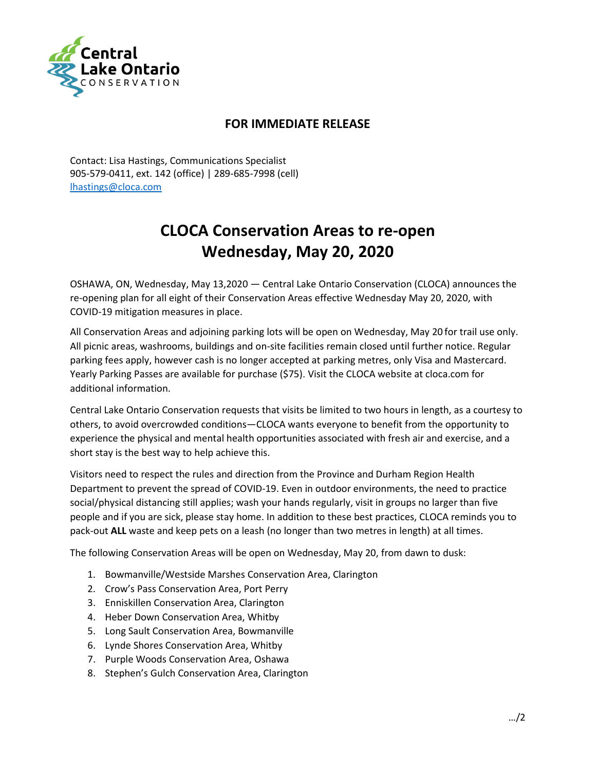

## **FOR IMMEDIATE RELEASE**

Contact: Lisa Hastings, Communications Specialist 905-579-0411, ext. 142 (office) | 289-685-7998 (cell) [lhastings@cloca.com](mailto:lhastings@cloca.com)

## **CLOCA Conservation Areas to re-open Wednesday, May 20, 2020**

OSHAWA, ON, Wednesday, May 13,2020 — Central Lake Ontario Conservation (CLOCA) announces the re-opening plan for all eight of their Conservation Areas effective Wednesday May 20, 2020, with COVID-19 mitigation measures in place.

All Conservation Areas and adjoining parking lots will be open on Wednesday, May 20 for trail use only. All picnic areas, washrooms, buildings and on-site facilities remain closed until further notice. Regular parking fees apply, however cash is no longer accepted at parking metres, only Visa and Mastercard. Yearly Parking Passes are available for purchase (\$75). Visit the CLOCA website at cloca.com for additional information.

Central Lake Ontario Conservation requests that visits be limited to two hours in length, as a courtesy to others, to avoid overcrowded conditions—CLOCA wants everyone to benefit from the opportunity to experience the physical and mental health opportunities associated with fresh air and exercise, and a short stay is the best way to help achieve this.

Visitors need to respect the rules and direction from the Province and Durham Region Health Department to prevent the spread of COVID-19. Even in outdoor environments, the need to practice social/physical distancing still applies; wash your hands regularly, visit in groups no larger than five people and if you are sick, please stay home. In addition to these best practices, CLOCA reminds you to pack-out **ALL** waste and keep pets on a leash (no longer than two metres in length) at all times.

The following Conservation Areas will be open on Wednesday, May 20, from dawn to dusk:

- 1. Bowmanville/Westside Marshes Conservation Area, Clarington
- 2. Crow's Pass Conservation Area, Port Perry
- 3. Enniskillen Conservation Area, Clarington
- 4. Heber Down Conservation Area, Whitby
- 5. Long Sault Conservation Area, Bowmanville
- 6. Lynde Shores Conservation Area, Whitby
- 7. Purple Woods Conservation Area, Oshawa
- 8. Stephen's Gulch Conservation Area, Clarington